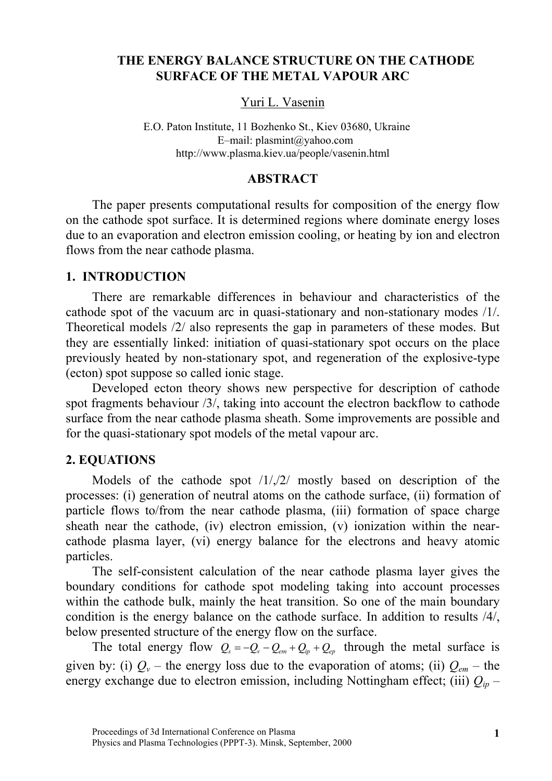# **THE ENERGY BALANCE STRUCTURE ON THE CATHODE SURFACE OF THE METAL VAPOUR ARC**

# Yuri L. Vasenin

http://www.plasma.kiev.ua/people/vasenin.html E.O. Paton Institute, 11 Bozhenko St., Kiev 03680, Ukraine E–mail: plasmint@yahoo.com

# **ABSTRACT**

The paper presents computational results for composition of the energy flow on the cathode spot surface. It is determined regions where dominate energy loses due to an evaporation and electron emission cooling, or heating by ion and electron flows from the near cathode plasma.

### **1. INTRODUCTION**

There are remarkable differences in behaviour and characteristics of the cathode spot of the vacuum arc in quasi-stationary and non-stationary modes /1/. Theoretical models /2/ also represents the gap in parameters of these modes. But they are essentially linked: initiation of quasi-stationary spot occurs on the place previously heated by non-stationary spot, and regeneration of the explosive-type (ecton) spot suppose so called ionic stage.

Developed ecton theory shows new perspective for description of cathode spot fragments behaviour /3/, taking into account the electron backflow to cathode surface from the near cathode plasma sheath. Some improvements are possible and for the quasi-stationary spot models of the metal vapour arc.

# **2. EQUATIONS**

Models of the cathode spot /1/,/2/ mostly based on description of the processes: (i) generation of neutral atoms on the cathode surface, (ii) formation of particle flows to/from the near cathode plasma, (iii) formation of space charge sheath near the cathode, (iv) electron emission, (v) ionization within the nearcathode plasma layer, (vi) energy balance for the electrons and heavy atomic particles.

The self-consistent calculation of the near cathode plasma layer gives the boundary conditions for cathode spot modeling taking into account processes within the cathode bulk, mainly the heat transition. So one of the main boundary condition is the energy balance on the cathode surface. In addition to results /4/, below presented structure of the energy flow on the surface.

The total energy flow  $Q_s = -Q_v - Q_{em} + Q_{ip} + Q_{ep}$  through the metal surface is given by: (i)  $Q_v$  – the energy loss due to the evaporation of atoms; (ii)  $Q_{em}$  – the energy exchange due to electron emission, including Nottingham effect; (iii)  $Q_{ip}$  –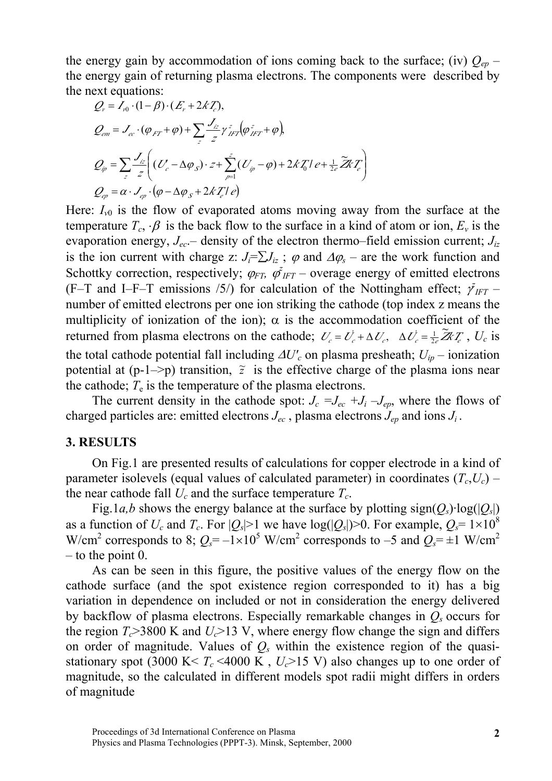the energy gain by accommodation of ions coming back to the surface; (iv)  $Q_{ep}$  – the energy gain of returning plasma electrons. The components were described by the next equations:

$$
Q_v = I_{v0} \cdot (1 - \beta) \cdot (E_v + 2kT_c),
$$
  
\n
$$
Q_{em} = J_{ec} \cdot (\varphi_{FT} + \varphi) + \sum_z \frac{J_{iz}}{z} \gamma_{HT}^z (\varphi_{HT}^z + \varphi),
$$
  
\n
$$
Q_{ip} = \sum_z \frac{J_{iz}}{z} \left( (U_c - \Delta \varphi_s) \cdot z + \sum_{p=1}^z (U_{ip} - \varphi) + 2kT_0 I e + \frac{1}{2e} \widetilde{Z} k T_c \right)
$$
  
\n
$$
Q_{ep} = \alpha \cdot J_{ep} \cdot (\varphi - \Delta \varphi_s + 2kT_c I e)
$$

Here:  $I_{v0}$  is the flow of evaporated atoms moving away from the surface at the temperature  $T_c$ ,  $\beta$  is the back flow to the surface in a kind of atom or ion,  $E_v$  is the evaporation energy, *Jec*.– density of the electron thermo–field emission current; *Jiz* is the ion current with charge z:  $J_i = \sum J_{iz}$ ;  $\varphi$  and  $\Delta \varphi_s$  – are the work function and Schottky correction, respectively;  $\varphi_{FT}$ ,  $\varphi_{IFT}^2$  – overage energy of emitted electrons (F-T and I-F-T emissions /5/) for calculation of the Nottingham effect;  $\tilde{\gamma}_{IFT}$  – number of emitted electrons per one ion striking the cathode (top index z means the multiplicity of ionization of the ion);  $\alpha$  is the accommodation coefficient of the returned from plasma electrons on the cathode;  $U_c = U_c^{\dagger} + \Delta U_c$ ,  $\Delta U_c^{\dagger} = \frac{1}{2e} \tilde{Z} Z_c Z_c$ ,  $U_c$  is the total cathode potential fall including  $\Delta U_c'$  on plasma presheath;  $U_{ip}$  – ionization potential at  $(p-1\rightarrow p)$  transition,  $\tilde{z}$  is the effective charge of the plasma ions near the cathode;  $T_e$  is the temperature of the plasma electrons.

The current density in the cathode spot:  $J_c = J_{ec} + J_i - J_{en}$ , where the flows of charged particles are: emitted electrons  $J_{ec}$ , plasma electrons  $J_{ep}$  and ions  $J_i$ .

#### **3. RESULTS**

On Fig.1 are presented results of calculations for copper electrode in a kind of parameter isolevels (equal values of calculated parameter) in coordinates  $(T_c, U_c)$  – the near cathode fall  $U_c$  and the surface temperature  $T_c$ .

Fig.1*a,b* shows the energy balance at the surface by plotting sign( $Q_s$ )·log( $|Q_s|$ ) as a function of  $U_c$  and  $T_c$ . For  $|Q_s|>1$  we have  $log(|Q_s|)>0$ . For example,  $Q_s = 1 \times 10^8$ W/cm<sup>2</sup> corresponds to 8;  $Q_s = -1 \times 10^5$  W/cm<sup>2</sup> corresponds to -5 and  $Q_s = \pm 1$  W/cm<sup>2</sup> – to the point 0.

As can be seen in this figure, the positive values of the energy flow on the cathode surface (and the spot existence region corresponded to it) has a big variation in dependence on included or not in consideration the energy delivered by backflow of plasma electrons. Especially remarkable changes in  $Q<sub>s</sub>$  occurs for the region  $T_c$  > 3800 K and  $U_c$  > 13 V, where energy flow change the sign and differs on order of magnitude. Values of  $Q_s$  within the existence region of the quasistationary spot (3000 K  $< T_c$  <4000 K,  $U_c$  >15 V) also changes up to one order of magnitude, so the calculated in different models spot radii might differs in orders of magnitude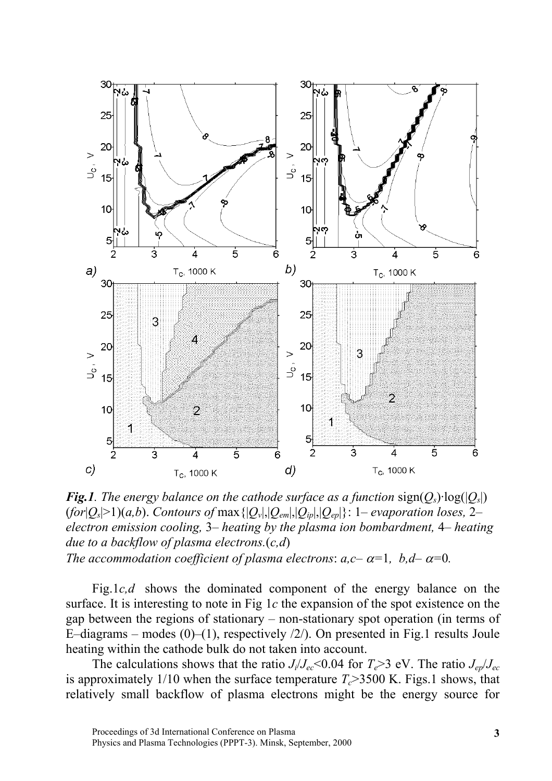

*Fig.1. The energy balance on the cathode surface as a function* sign( $Q_s$ )·log( $|Q_s|$ )  $(for|Q_s|>1)(a,b)$ . *Contours of max*  $\{|Q_v|, |Q_{em}|, |Q_{iv}|, |Q_{ev}|\}$ : 1– evaporation loses, 2– *electron emission cooling,* 3*– heating by the plasma ion bombardment,* 4*– heating due to a backflow of plasma electrons.*(*c,d*) *The accommodation coefficient of plasma electrons:*  $a, c - \alpha = 1$ *,*  $b, d - \alpha = 0$ *.* 

Fig.1*c,d* shows the dominated component of the energy balance on the surface. It is interesting to note in Fig 1*c* the expansion of the spot existence on the gap between the regions of stationary – non-stationary spot operation (in terms of E–diagrams – modes  $(0)$ – $(1)$ , respectively  $\frac{2}{\lambda}$ . On presented in Fig.1 results Joule heating within the cathode bulk do not taken into account.

The calculations shows that the ratio  $J_i/J_{ec} < 0.04$  for  $T_e > 3$  eV. The ratio  $J_{ep}/J_{ec}$ is approximately 1/10 when the surface temperature  $T_c$  > 3500 K. Figs.1 shows, that relatively small backflow of plasma electrons might be the energy source for